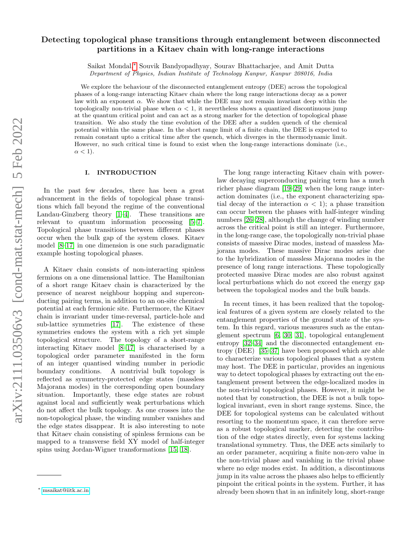# Detecting topological phase transitions through entanglement between disconnected partitions in a Kitaev chain with long-range interactions

Saikat Mondal,[∗](#page-0-0) Souvik Bandyopadhyay, Sourav Bhattacharjee, and Amit Dutta Department of Physics, Indian Institute of Technology Kanpur, Kanpur 208016, India

We explore the behaviour of the disconnected entanglement entropy (DEE) across the topological phases of a long-range interacting Kitaev chain where the long range interactions decay as a power law with an exponent  $\alpha$ . We show that while the DEE may not remain invariant deep within the topologically non-trivial phase when  $\alpha < 1$ , it nevertheless shows a quantized discontinuous jump at the quantum critical point and can act as a strong marker for the detection of topological phase transition. We also study the time evolution of the DEE after a sudden quench of the chemical potential within the same phase. In the short range limit of a finite chain, the DEE is expected to remain constant upto a critical time after the quench, which diverges in the thermodynamic limit. However, no such critical time is found to exist when the long-range interactions dominate (i.e.,  $\alpha < 1$ ).

### I. INTRODUCTION

In the past few decades, there has been a great advancement in the fields of topological phase transitions which fall beyond the regime of the conventional Landau-Ginzberg theory [\[1–](#page-11-0)[4\]](#page-11-1). These transitions are relevant to quantum information processing [\[5–](#page-11-2)[7\]](#page-11-3). Topological phase transitions between different phases occur when the bulk gap of the system closes. Kitaev model [\[8–](#page-11-4)[17\]](#page-12-0) in one dimension is one such paradigmatic example hosting topological phases.

A Kitaev chain consists of non-interacting spinless fermions on a one dimensional lattice. The Hamiltonian of a short range Kitaev chain is characterized by the presence of nearest neighbour hopping and superconducting pairing terms, in addition to an on-site chemical potential at each fermionic site. Furthermore, the Kitaev chain is invariant under time-reversal, particle-hole and sub-lattice symmetries [\[17\]](#page-12-0). The existence of these symmetries endows the system with a rich yet simple topological structure. The topology of a short-range interacting Kitaev model [\[8](#page-11-4)[–17\]](#page-12-0) is characterised by a topological order parameter manifested in the form of an integer quantised winding number in periodic boundary conditions. A nontrivial bulk topology is reflected as symmetry-protected edge states (massless Majorana modes) in the corresponding open boundary situation. Importantly, these edge states are robust against local and sufficiently weak perturbations which do not affect the bulk topology. As one crosses into the non-topological phase, the winding number vanishes and the edge states disappear. It is also interesting to note that Kitaev chain consisting of spinless fermions can be mapped to a transverse field XY model of half-integer spins using Jordan-Wigner transformations [\[15,](#page-11-5) [18\]](#page-12-1).

The long range interacting Kitaev chain with powerlaw decaying superconducting pairing term has a much richer phase diagram [\[19–](#page-12-2)[29\]](#page-12-3) when the long range interaction dominates (i.e., the exponent characterizing spatial decay of the interaction  $\alpha < 1$ ; a phase transition can occur between the phases with half-integer winding numbers [\[26](#page-12-4)[–28\]](#page-12-5), although the change of winding number across the critical point is still an integer. Furthermore, in the long-range case, the topologically non-trivial phase consists of massive Dirac modes, instead of massless Majorana modes. These massive Dirac modes arise due to the hybridization of massless Majorana modes in the presence of long range interactions. These topologically protected massive Dirac modes are also robust against local perturbations which do not exceed the energy gap between the topological modes and the bulk bands.

In recent times, it has been realized that the topological features of a given system are closely related to the entanglement properties of the ground state of the system. In this regard, various measures such as the entanglement spectrum [\[6,](#page-11-6) [30,](#page-12-6) [31\]](#page-12-7), topological entanglement entropy [\[32–](#page-12-8)[34\]](#page-12-9) and the disconnected entanglement entropy (DEE) [\[35–](#page-12-10)[37\]](#page-12-11) have been proposed which are able to characterize various topological phases that a system may host. The DEE in particular, provides an ingenious way to detect topological phases by extracting out the entanglement present between the edge-localized modes in the non-trivial topological phases. However, it might be noted that by construction, the DEE is not a bulk topological invariant, even in short range systems. Since, the DEE for topological systems can be calculated without resorting to the momentum space, it can therefore serve as a robust topological marker, detecting the contribution of the edge states directly, even for systems lacking translational symmetry. Thus, the DEE acts similarly to an order parameter, acquiring a finite non-zero value in the non-trivial phase and vanishing in the trivial phase where no edge modes exist. In addition, a discontinuous jump in its value across the phases also helps to efficiently pinpoint the critical points in the system. Further, it has already been shown that in an infinitely long, short-range

<span id="page-0-0"></span><sup>∗</sup> [msaikat@iitk.ac.in](mailto:msaikat@iitk.ac.in)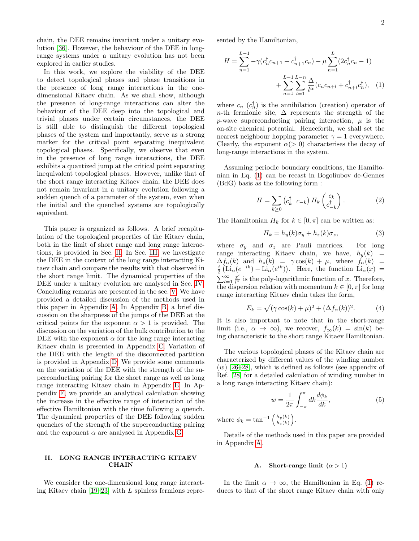chain, the DEE remains invariant under a unitary evolution [\[36\]](#page-12-12). However, the behaviour of the DEE in longrange systems under a unitary evolution has not been explored in earlier studies.

In this work, we explore the viability of the DEE to detect topological phases and phase transitions in the presence of long range interactions in the onedimensional Kitaev chain. As we shall show, although the presence of long-range interactions can alter the behaviour of the DEE deep into the topological and trivial phases under certain circumstances, the DEE is still able to distinguish the different topological phases of the system and importantly, serve as a strong marker for the critical point separating inequivalent topological phases. Specifically, we observe that even in the presence of long range interactions, the DEE exhibits a quantized jump at the critical point separating inequivalent topological phases. However, unlike that of the short range interacting Kitaev chain, the DEE does not remain invariant in a unitary evolution following a sudden quench of a parameter of the system, even when the initial and the quenched systems are topologically equivalent.

This paper is organized as follows. A brief recapitulation of the topological properties of the Kitaev chain, both in the limit of short range and long range interactions, is provided in Sec. [II.](#page-1-0) In Sec. [III,](#page-2-0) we investigate the DEE in the context of the long range interacting Kitaev chain and compare the results with that observed in the short range limit. The dynamical properties of the DEE under a unitary evolution are analysed in Sec. [IV.](#page-5-0) Concluding remarks are presented in the sec. [V.](#page-6-0) We have provided a detailed discussion of the methods used in this paper in Appendix [A.](#page-7-0) In Appendix [B,](#page-7-1) a brief discussion on the sharpness of the jumps of the DEE at the critical points for the exponent  $\alpha > 1$  is provided. The discussion on the variation of the bulk contribution to the DEE with the exponent  $\alpha$  for the long range interacting Kitaev chain is presented in Appendix [C.](#page-8-0) Variation of the DEE with the length of the disconnected partition is provided in Appendix [D.](#page-8-1) We provide some comments on the variation of the DEE with the strength of the superconducting pairing for the short range as well as long range interacting Kitaev chain in Appendix [E.](#page-10-0) In Appendix [F,](#page-10-1) we provide an analytical calculation showing the increase in the effective range of interaction of the effective Hamiltonian with the time following a quench. The dynamical properties of the DEE following sudden quenches of the strength of the superconducting pairing and the exponent  $\alpha$  are analysed in Appendix [G.](#page-11-7)

### <span id="page-1-0"></span>II. LONG RANGE INTERACTING KITAEV **CHAIN**

We consider the one-dimensional long range interacting Kitaev chain  $[19-23]$  $[19-23]$  with L spinless fermions represented by the Hamiltonian,

<span id="page-1-1"></span>
$$
H = \sum_{n=1}^{L-1} -\gamma (c_n^{\dagger} c_{n+1} + c_{n+1}^{\dagger} c_n) - \mu \sum_{n=1}^{L} (2c_n^{\dagger} c_n - 1)
$$

$$
+ \sum_{n=1}^{L-1} \sum_{l=1}^{L-n} \frac{\Delta}{l^{\alpha}} (c_n c_{n+l} + c_{n+l}^{\dagger} c_n^{\dagger}), \quad (1)
$$

where  $c_n$   $(c_n^{\dagger})$  is the annihilation (creation) operator of n-th fermionic site,  $\Delta$  represents the strength of the p-wave superconducting pairing interaction,  $\mu$  is the on-site chemical potential. Henceforth, we shall set the nearest neighbour hopping parameter  $\gamma = 1$  everywhere. Clearly, the exponent  $\alpha$ ( $>$  0) characterises the decay of long-range interactions in the system.

Assuming periodic boundary conditions, the Hamiltonian in Eq. [\(1\)](#page-1-1) can be recast in Bogoliubov de-Gennes (BdG) basis as the following form :

$$
H = \sum_{k \ge 0} \left( c_k^{\dagger} \ c_{-k} \right) H_k \begin{pmatrix} c_k \\ c_{-k}^{\dagger} \end{pmatrix} . \tag{2}
$$

The Hamiltonian  $H_k$  for  $k \in [0, \pi]$  can be written as:

$$
H_k = h_y(k)\sigma_y + h_z(k)\sigma_z, \tag{3}
$$

where  $\sigma_y$  and  $\sigma_z$  are Pauli matrices. For long range interacting Kitaev chain, we have,  $h_y(k)$  =  $\Delta f_{\alpha}(k)$  and  $h_z(k) = \gamma \cos(k) + \mu$ , where  $f_{\alpha}(k) =$  $\frac{i}{2} \left( \text{Li}_{\alpha}(e^{-ik}) - \text{Li}_{\alpha}(e^{ik}) \right)$ . Here, the function  $\text{Li}_{\alpha}(x) =$  $\sum_{l=1}^{\infty} \frac{x^l}{l^{\alpha}}$  is the poly-logarithmic function of x. Therefore, the dispersion relation with momentum  $k \in [0, \pi]$  for long range interacting Kitaev chain takes the form,

<span id="page-1-2"></span>
$$
E_k = \sqrt{(\gamma \cos(k) + \mu)^2 + (\Delta f_\alpha(k))^2}.
$$
 (4)

It is also important to note that in the short-range limit (i.e.,  $\alpha \to \infty$ ), we recover,  $f_{\infty}(k) = \sin(k)$  being characteristic to the short range Kitaev Hamiltonian.

The various topological phases of the Kitaev chain are characterized by different values of the winding number  $(w)$  [\[26](#page-12-4)[–28\]](#page-12-5), which is defined as follows (see appendix of Ref. [\[28\]](#page-12-5) for a detailed calculation of winding number in a long range interacting Kitaev chain):

$$
w = \frac{1}{2\pi} \int_{-\pi}^{\pi} dk \frac{d\phi_k}{dk},\tag{5}
$$

where  $\phi_k = \tan^{-1} \left( \frac{h_y(k)}{h_y(k)} \right)$  $\frac{h_y(k)}{h_z(k)}\bigg).$ 

Details of the methods used in this paper are provided in Appendix [A.](#page-7-0)

# A. Short-range limit  $(\alpha > 1)$

In the limit  $\alpha \to \infty$ , the Hamiltonian in Eq. [\(1\)](#page-1-1) reduces to that of the short range Kitaev chain with only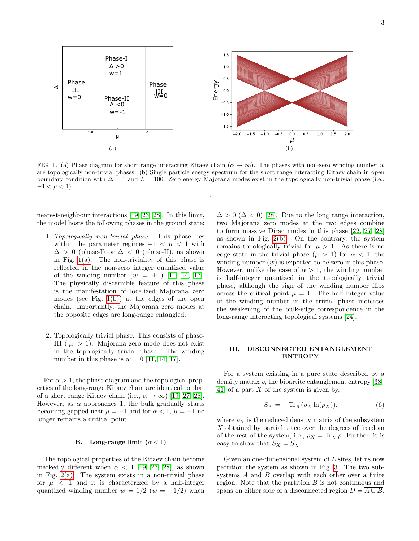<span id="page-2-1"></span>

FIG. 1. (a) Phase diagram for short range interacting Kitaev chain  $(\alpha \to \infty)$ . The phases with non-zero winding number w are topologically non-trivial phases. (b) Single particle energy spectrum for the short range interacting Kitaev chain in open boundary condition with  $\Delta = 1$  and  $L = 100$ . Zero energy Majorana modes exist in the topologically non-trivial phase (i.e.,  $-1 < \mu < 1$ ).

<span id="page-2-2"></span>.

nearest-neighbour interactions [\[19,](#page-12-2) [23,](#page-12-13) [28\]](#page-12-5). In this limit, the model hosts the following phases in the ground state:

- 1. Topologically non-trivial phase: This phase lies within the parameter regimes  $-1 < \mu < 1$  with  $\Delta > 0$  (phase-I) or  $\Delta < 0$  (phase-II), as shown in Fig.  $1(a)$ . The non-triviality of this phase is reflected in the non-zero integer quantized value of the winding number  $(w = \pm 1)$  [\[11,](#page-11-8) [14,](#page-11-9) [17\]](#page-12-0). The physically discernible feature of this phase is the manifestation of localized Majorana zero modes (see Fig. [1\(b\)\)](#page-2-2) at the edges of the open chain. Importantly, the Majorana zero modes at the opposite edges are long-range entangled.
- 2. Topologically trivial phase: This consists of phase-III ( $|\mu| > 1$ ). Majorana zero mode does not exist in the topologically trivial phase. The winding number in this phase is  $w = 0$  [\[11,](#page-11-8) [14,](#page-11-9) [17\]](#page-12-0).

For  $\alpha > 1$ , the phase diagram and the topological properties of the long-range Kitaev chain are identical to that of a short range Kitaev chain (i.e.,  $\alpha \to \infty$ ) [\[19,](#page-12-2) [27,](#page-12-14) [28\]](#page-12-5). However, as  $\alpha$  approaches 1, the bulk gradually starts becoming gapped near  $\mu = -1$  and for  $\alpha < 1$ ,  $\mu = -1$  no longer remains a critical point.

#### <span id="page-2-3"></span>B. Long-range limit  $(\alpha < 1)$

The topological properties of the Kitaev chain become markedly different when  $\alpha$  < 1 [\[19,](#page-12-2) [27,](#page-12-14) [28\]](#page-12-5), as shown in Fig.  $2(a)$ . The system exists in a non-trivial phase for  $\mu$  < 1 and it is characterized by a half-integer quantized winding number  $w = 1/2$  ( $w = -1/2$ ) when

 $\Delta > 0$  ( $\Delta < 0$ ) [\[28\]](#page-12-5). Due to the long range interaction, two Majorana zero modes at the two edges combine to form massive Dirac modes in this phase [\[22,](#page-12-15) [27,](#page-12-14) [28\]](#page-12-5) as shown in Fig.  $2(b)$ . On the contrary, the system remains topologically trivial for  $\mu > 1$ . As there is no edge state in the trivial phase  $(\mu > 1)$  for  $\alpha < 1$ , the winding number  $(w)$  is expected to be zero in this phase. However, unlike the case of  $\alpha > 1$ , the winding number is half-integer quantized in the topologically trivial phase, although the sign of the winding number flips across the critical point  $\mu = 1$ . The half integer value of the winding number in the trivial phase indicates the weakening of the bulk-edge correspondence in the long-range interacting topological systems [\[24\]](#page-12-16).

### <span id="page-2-0"></span>III. DISCONNECTED ENTANGLEMENT ENTROPY

For a system existing in a pure state described by a density matrix  $\rho$ , the bipartite entanglement entropy [\[38–](#page-12-17) 41 of a part  $X$  of the system is given by,

$$
S_X = -\operatorname{Tr}_X(\rho_X \ln(\rho_X)),\tag{6}
$$

where  $\rho_X$  is the reduced density matrix of the subsystem X obtained by partial trace over the degrees of freedom of the rest of the system, i.e.,  $\rho_X = \text{Tr}_{\bar{X}} \rho$ . Further, it is easy to show that  $S_X = S_{\bar{X}}$ .

Given an one-dimensional system of L sites, let us now partition the system as shown in Fig. [3.](#page-3-2) The two subsystems A and B overlap with each other over a finite region. Note that the partition  $B$  is not continuous and spans on either side of a disconnected region  $D = \overline{A \cup B}$ .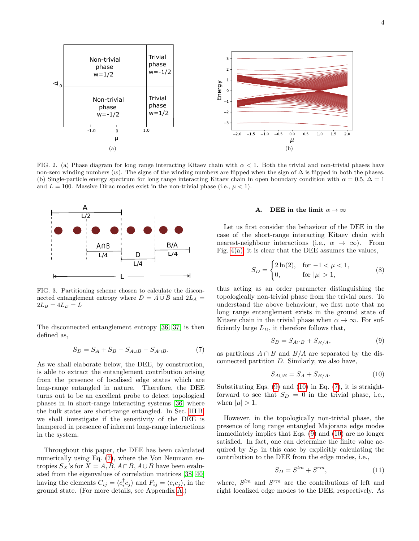<span id="page-3-0"></span>

FIG. 2. (a) Phase diagram for long range interacting Kitaev chain with  $\alpha < 1$ . Both the trivial and non-trivial phases have non-zero winding numbers  $(w)$ . The signs of the winding numbers are flipped when the sign of  $\Delta$  is flipped in both the phases. (b) Single-particle energy spectrum for long range interacting Kitaev chain in open boundary condition with  $\alpha = 0.5$ ,  $\Delta = 1$ and  $L = 100$ . Massive Dirac modes exist in the non-trivial phase (i.e.,  $\mu < 1$ ).



<span id="page-3-2"></span>FIG. 3. Partitioning scheme chosen to calculate the disconnected entanglement entropy where  $D = \overline{A \cup B}$  and  $2L_A =$  $2L_B = 4L_D = L$ 

The disconnected entanglement entropy [\[36,](#page-12-12) [37\]](#page-12-11) is then defined as,

<span id="page-3-3"></span>
$$
S_D = S_A + S_B - S_{A \cup B} - S_{A \cap B}.\tag{7}
$$

As we shall elaborate below, the DEE, by construction, is able to extract the entanglement contribution arising from the presence of localised edge states which are long-range entangled in nature. Therefore, the DEE turns out to be an excellent probe to detect topological phases in in short-range interacting systems [\[36\]](#page-12-12) where the bulk states are short-range entangled. In Sec. [III B,](#page-4-0) we shall investigate if the sensitivity of the DEE is hampered in presence of inherent long-range interactions in the system.

Throughout this paper, the DEE has been calculated numerically using Eq. [\(7\)](#page-3-3), where the Von Neumann entropies  $S_X$ 's for  $X = A, B, A \cap B, A \cup B$  have been evaluated from the eigenvalues of correlation matrices [\[38,](#page-12-17) [40\]](#page-12-19) having the elements  $C_{ij} = \langle c_i^{\dagger} c_j \rangle$  and  $F_{ij} = \langle c_i c_j \rangle$ , in the ground state. (For more details, see Appendix [A.](#page-7-0))

# <span id="page-3-1"></span>A. DEE in the limit  $\alpha \to \infty$

Let us first consider the behaviour of the DEE in the case of the short-range interacting Kitaev chain with nearest-neighbour interactions (i.e.,  $\alpha \rightarrow \infty$ ). From Fig.  $4(a)$ , it is clear that the DEE assumes the values,

$$
S_D = \begin{cases} 2\ln(2), & \text{for } -1 < \mu < 1, \\ 0, & \text{for } |\mu| > 1, \end{cases} \tag{8}
$$

thus acting as an order parameter distinguishing the topologically non-trivial phase from the trivial ones. To understand the above behaviour, we first note that no long range entanglement exists in the ground state of Kitaev chain in the trivial phase when  $\alpha \to \infty$ . For sufficiently large  $L_D$ , it therefore follows that,

<span id="page-3-4"></span>
$$
S_B = S_{A \cap B} + S_{B/A},\tag{9}
$$

as partitions  $A \cap B$  and  $B/A$  are separated by the disconnected partition D. Similarly, we also have,

<span id="page-3-5"></span>
$$
S_{A \cup B} = S_A + S_{B/A}.\tag{10}
$$

Substituting Eqs. [\(9\)](#page-3-4) and [\(10\)](#page-3-5) in Eq. [\(7\)](#page-3-3), it is straightforward to see that  $S_D = 0$  in the trivial phase, i.e., when  $|\mu| > 1$ .

However, in the topologically non-trivial phase, the presence of long range entangled Majorana edge modes immediately implies that Eqs. [\(9\)](#page-3-4) and [\(10\)](#page-3-5) are no longer satisfied. In fact, one can determine the finite value acquired by  $S_D$  in this case by explicitly calculating the contribution to the DEE from the edge modes, i.e.,

$$
S_D = S^{lm} + S^{rm},\tag{11}
$$

where,  $S^{lm}$  and  $S^{rm}$  are the contributions of left and right localized edge modes to the DEE, respectively. As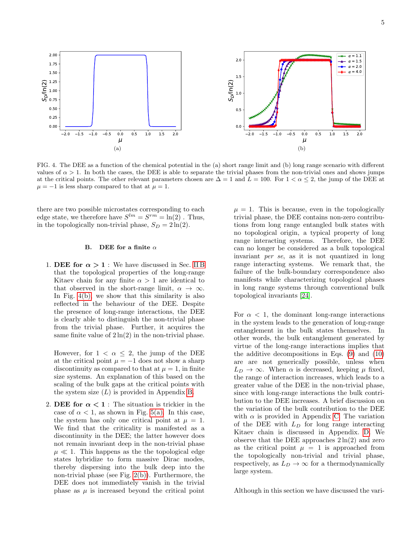<span id="page-4-1"></span>

FIG. 4. The DEE as a function of the chemical potential in the (a) short range limit and (b) long range scenario with different values of  $\alpha > 1$ . In both the cases, the DEE is able to separate the trivial phases from the non-trivial ones and shows jumps at the critical points. The other relevant parameters chosen are  $\Delta = 1$  and  $L = 100$ . For  $1 < \alpha \leq 2$ , the jump of the DEE at  $\mu = -1$  is less sharp compared to that at  $\mu = 1$ .

there are two possible microstates corresponding to each edge state, we therefore have  $S^{lm} = S^{rm} = \ln(2)$ . Thus, in the topologically non-trivial phase,  $S_D = 2 \ln(2)$ .

# <span id="page-4-0"></span>B. DEE for a finite  $\alpha$

1. DEE for  $\alpha > 1$ : We have discussed in Sec. [II B](#page-2-3) that the topological properties of the long-range Kitaev chain for any finite  $\alpha > 1$  are identical to that observed in the short-range limit,  $\alpha \to \infty$ . In Fig. [4\(b\),](#page-4-2) we show that this similarity is also reflected in the behaviour of the DEE. Despite the presence of long-range interactions, the DEE is clearly able to distinguish the non-trivial phase from the trivial phase. Further, it acquires the same finite value of  $2 \ln(2)$  in the non-trivial phase.

However, for  $1 < \alpha \leq 2$ , the jump of the DEE at the critical point  $\mu = -1$  does not show a sharp discontinuity as compared to that at  $\mu = 1$ , in finite size systems. An explanation of this based on the scaling of the bulk gaps at the critical points with the system size  $(L)$  is provided in Appendix [B.](#page-7-1)

2. DEE for  $\alpha < 1$ : The situation is trickier in the case of  $\alpha < 1$ , as shown in Fig. [5\(a\).](#page-5-1) In this case, the system has only one critical point at  $\mu = 1$ . We find that the criticality is manifested as a discontinuity in the DEE; the latter however does not remain invariant deep in the non-trivial phase  $\mu \ll 1$ . This happens as the the topological edge states hybridize to form massive Dirac modes, thereby dispersing into the bulk deep into the non-trivial phase (see Fig. [2\(b\)\)](#page-3-1). Furthermore, the DEE does not immediately vanish in the trivial phase as  $\mu$  is increased beyond the critical point

<span id="page-4-2"></span> $\mu = 1$ . This is because, even in the topologically trivial phase, the DEE contains non-zero contributions from long range entangled bulk states with no topological origin, a typical property of long range interacting systems. Therefore, the DEE can no longer be considered as a bulk topological invariant per se, as it is not quantized in long range interacting systems. We remark that, the failure of the bulk-boundary correspondence also manifests while characterizing topological phases in long range systems through conventional bulk topological invariants [\[24\]](#page-12-16).

For  $\alpha$  < 1, the dominant long-range interactions in the system leads to the generation of long-range entanglement in the bulk states themselves. In other words, the bulk entanglement generated by virtue of the long-range interactions implies that the additive decompositions in Eqs. [\(9\)](#page-3-4) and [\(10\)](#page-3-5) are are not generically possible, unless when  $L_D \rightarrow \infty$ . When  $\alpha$  is decreased, keeping  $\mu$  fixed, the range of interaction increases, which leads to a greater value of the DEE in the non-trivial phase, since with long-range interactions the bulk contribution to the DEE increases. A brief discussion on the variation of the bulk contribution to the DEE with  $\alpha$  is provided in Appendix [C.](#page-8-0) The variation of the DEE with  $L_D$  for long range interacting Kitaev chain is discussed in Appendix. [D.](#page-8-1) We observe that the DEE approaches  $2 \ln(2)$  and zero as the critical point  $\mu = 1$  is approached from the topologically non-trivial and trivial phase, respectively, as  $L_D \rightarrow \infty$  for a thermodynamically large system.

Although in this section we have discussed the vari-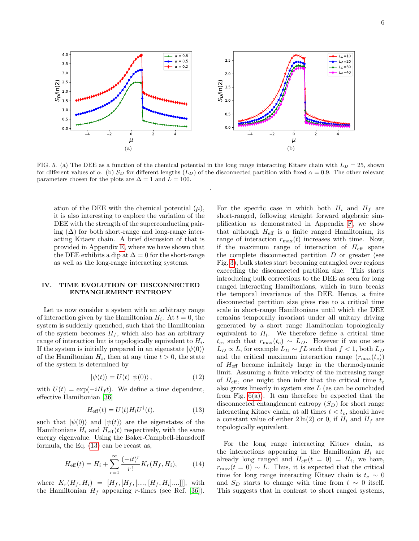<span id="page-5-1"></span>

FIG. 5. (a) The DEE as a function of the chemical potential in the long range interacting Kitaev chain with  $L_D = 25$ , shown for different values of  $\alpha$ . (b)  $S_D$  for different lengths  $(L_D)$  of the disconnected partition with fixed  $\alpha = 0.9$ . The other relevant parameters chosen for the plots are  $\Delta = 1$  and  $L = 100$ .

.

ation of the DEE with the chemical potential  $(\mu)$ , it is also interesting to explore the variation of the DEE with the strength of the superconducting pairing  $(\Delta)$  for both short-range and long-range interacting Kitaev chain. A brief discussion of that is provided in Appendix [E,](#page-10-0) where we have shown that the DEE exhibits a dip at  $\Delta = 0$  for the short-range as well as the long-range interacting systems.

### <span id="page-5-0"></span>IV. TIME EVOLUTION OF DISCONNECTED ENTANGLEMENT ENTROPY

Let us now consider a system with an arbitrary range of interaction given by the Hamiltonian  $H_i$ . At  $t = 0$ , the system is suddenly quenched, such that the Hamiltonian of the system becomes  $H_f$ , which also has an arbitrary range of interaction but is topologically equivalent to  $H_i$ . If the system is initially prepared in an eigenstate  $|\psi(0)\rangle$ of the Hamiltonian  $H_i$ , then at any time  $t > 0$ , the state of the system is determined by

$$
|\psi(t)\rangle = U(t) |\psi(0)\rangle, \qquad (12)
$$

with  $U(t) = \exp(-iH_f t)$ . We define a time dependent, effective Hamiltonian [\[36\]](#page-12-12)

<span id="page-5-2"></span>
$$
H_{\text{eff}}(t) = U(t)H_i U^{\dagger}(t),\tag{13}
$$

such that  $|\psi(0)\rangle$  and  $|\psi(t)\rangle$  are the eigenstates of the Hamiltonians  $H_i$  and  $H_{\text{eff}}(t)$  respectively, with the same energy eigenvalue. Using the Baker-Campbell-Hausdorff formula, the Eq. [\(13\)](#page-5-2) can be recast as,

<span id="page-5-3"></span>
$$
H_{\text{eff}}(t) = H_i + \sum_{r=1}^{\infty} \frac{(-it)^r}{r!} K_r(H_f, H_i), \quad (14)
$$

where  $K_r(H_f, H_i) = [H_f, [H_f, [\dots, [H_f, H_i] \dots]]],$  with the Hamiltonian  $H_f$  appearing r-times (see Ref. [\[36\]](#page-12-12)).

For the specific case in which both  $H_i$  and  $H_f$  are short-ranged, following straight forward algebraic simplification as demonstrated in Appendix [F,](#page-10-1) we show that although  $H_{\text{eff}}$  is a finite ranged Hamiltonian, its range of interaction  $r_{\text{max}}(t)$  increases with time. Now, if the maximum range of interaction of  $H_{\text{eff}}$  spans the complete disconnected partition  $D$  or greater (see Fig. [3\)](#page-3-2), bulk states start becoming entangled over regions exceeding the disconnected partition size. This starts introducing bulk corrections to the DEE as seen for long ranged interacting Hamiltonians, which in turn breaks the temporal invariance of the DEE. Hence, a finite disconnected partition size gives rise to a critical time scale in short-range Hamiltonians until which the DEE remains temporally invariant under all unitary driving generated by a short range Hamiltonian topologically equivalent to  $H_i$ . We therefore define a critical time  $t_c$ , such that  $r_{\text{max}}(t_c) \sim L_D$ . However if we one sets  $L_D \propto L$ , for example  $L_D \sim fL$  such that  $f < 1$ , both  $L_D$ and the critical maximum interaction range  $(r_{\text{max}}(t_c))$ of  $H_{\text{eff}}$  become infinitely large in the thermodynamic limit. Assuming a finite velocity of the increasing range of  $H_{\text{eff}}$ , one might then infer that the critical time  $t_c$ also grows linearly in system size  $L$  (as can be concluded from Fig.  $6(a)$ ). It can therefore be expected that the disconnected entanglement entropy  $(S_D)$  for short range interacting Kitaev chain, at all times  $t < t_c$ , should have a constant value of either  $2 \ln(2)$  or 0, if  $H_i$  and  $H_f$  are topologically equivalent.

For the long range interacting Kitaev chain, as the interactions appearing in the Hamiltonian  $H_i$  are already long ranged and  $H_{\text{eff}}(t = 0) = H_i$ , we have,  $r_{\text{max}}(t=0) \sim L$ . Thus, it is expected that the critical time for long range interacting Kitaev chain is  $t_c \sim 0$ and  $S_D$  starts to change with time from  $t \sim 0$  itself. This suggests that in contrast to short ranged systems,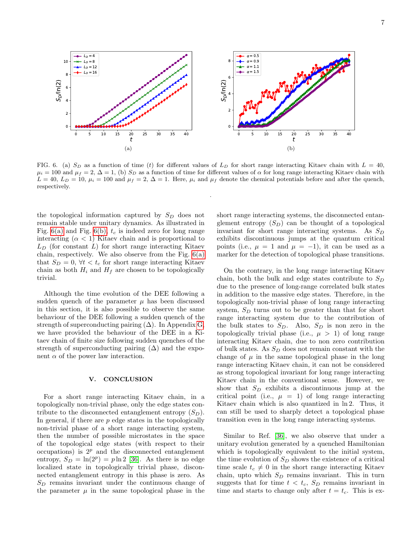<span id="page-6-1"></span>0 5 10 15 20 25 30 35 40 t 0 2 4 6 8 10  $\mathsf{s}_\mathsf{D}$ /ln(2)  $Ln = 4$  $L<sub>D</sub> = 8$  $L_0 = 12$  $L_D = 16$ (a) 0 5 10 15 20 25 30 35 40 t 0 2 4 6 8  $\mathsf{S}_\mathsf{D}/\mathsf{In}(2)$  $\alpha = 0.5$  $\alpha = 0.9$  $= 1.1$  $= 1.5$ (b)

FIG. 6. (a)  $S_D$  as a function of time (t) for different values of  $L_D$  for short range interacting Kitaev chain with  $L = 40$ ,  $\mu_i = 100$  and  $\mu_f = 2$ ,  $\Delta = 1$ , (b)  $S_D$  as a function of time for different values of  $\alpha$  for long range interacting Kitaev chain with  $L = 40, L_D = 10, \mu_i = 100$  and  $\mu_f = 2, \Delta = 1$ . Here,  $\mu_i$  and  $\mu_f$  denote the chemical potentials before and after the quench, respectively.

<span id="page-6-2"></span>.

the topological information captured by  $S_D$  does not remain stable under unitary dynamics. As illustrated in Fig. [6\(a\)](#page-6-1) and Fig. [6\(b\),](#page-6-2)  $t_c$  is indeed zero for long range interacting  $(\alpha < 1)$  Kitaev chain and is proportional to  $L_D$  (for constant L) for short range interacting Kitaev chain, respectively. We also observe from the Fig.  $6(a)$ that  $S_D = 0$ ,  $\forall t < t_c$  for short range interacting Kitaev chain as both  $H_i$  and  $H_f$  are chosen to be topologically trivial.

Although the time evolution of the DEE following a sudden quench of the parameter  $\mu$  has been discussed in this section, it is also possible to observe the same behaviour of the DEE following a sudden quench of the strength of superconducting pairing  $(\Delta)$ . In Appendix [G,](#page-11-7) we have provided the behaviour of the DEE in a Kitaev chain of finite size following sudden quenches of the strength of superconducting pairing  $(\Delta)$  and the exponent  $\alpha$  of the power law interaction.

#### <span id="page-6-0"></span>V. CONCLUSION

For a short range interacting Kitaev chain, in a topologically non-trivial phase, only the edge states contribute to the disconnected entanglement entropy  $(S_D)$ . In general, if there are  $p$  edge states in the topologically non-trivial phase of a short range interacting system, then the number of possible microstates in the space of the topological edge states (with respect to their occupations) is  $2^p$  and the disconnected entanglement entropy,  $S_D = \ln(2^p) = p \ln 2$  [\[36\]](#page-12-12). As there is no edge localized state in topologically trivial phase, disconnected entanglement entropy in this phase is zero. As  $S_D$  remains invariant under the continuous change of the parameter  $\mu$  in the same topological phase in the short range interacting systems, the disconnected entanglement entropy  $(S_D)$  can be thought of a topological invariant for short range interacting systems. As  $S_D$ exhibits discontinuous jumps at the quantum critical points (i.e.,  $\mu = 1$  and  $\mu = -1$ ), it can be used as a marker for the detection of topological phase transitions.

On the contrary, in the long range interacting Kitaev chain, both the bulk and edge states contribute to  $S_D$ due to the presence of long-range correlated bulk states in addition to the massive edge states. Therefore, in the topologically non-trivial phase of long range interacting system,  $S_D$  turns out to be greater than that for short range interacting system due to the contribution of the bulk states to  $S_D$ . Also,  $S_D$  is non zero in the topologically trivial phase (i.e.,  $\mu > 1$ ) of long range interacting Kitaev chain, due to non zero contribution of bulk states. As  $S_D$  does not remain constant with the change of  $\mu$  in the same topological phase in the long range interacting Kitaev chain, it can not be considered as strong topological invariant for long range interacting Kitaev chain in the conventional sense. However, we show that  $S_D$  exhibits a discontinuous jump at the critical point (i.e.,  $\mu = 1$ ) of long range interacting Kitaev chain which is also quantized in ln 2. Thus, it can still be used to sharply detect a topological phase transition even in the long range interacting systems.

Similar to Ref. [\[36\]](#page-12-12), we also observe that under a unitary evolution generated by a quenched Hamiltonian which is topologically equivalent to the initial system, the time evolution of  $S_D$  shows the existence of a critical time scale  $t_c \neq 0$  in the short range interacting Kitaev chain, upto which  $S_D$  remains invariant. This in turn suggests that for time  $t < t_c$ ,  $S_D$  remains invariant in time and starts to change only after  $t = t_c$ . This is ex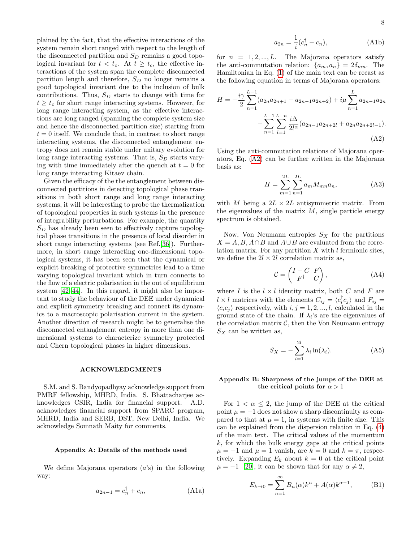plained by the fact, that the effective interactions of the system remain short ranged with respect to the length of the disconnected partition and  $S_D$  remains a good topological invariant for  $t < t_c$ . At  $t \geq t_c$ , the effective interactions of the system span the complete disconnected partition length and therefore,  $S_D$  no longer remains a good topological invariant due to the inclusion of bulk contributions. Thus,  $S_D$  starts to change with time for  $t \geq t_c$  for short range interacting systems. However, for long range interacting system, as the effective interactions are long ranged (spanning the complete system size and hence the disconnected partition size) starting from  $t = 0$  itself. We conclude that, in contrast to short range interacting systems, the disconnected entanglement entropy does not remain stable under unitary evolution for long range interacting systems. That is,  $S_D$  starts varying with time immediately after the quench at  $t = 0$  for long range interacting Kitaev chain.

Given the efficacy of the the entanglement between disconnected partitions in detecting topological phase transitions in both short range and long range interacting systems, it will be interesting to probe the thermalization of topological properties in such systems in the presence of integrability perturbations. For example, the quantity  $S_D$  has already been seen to effectively capture topological phase transitions in the presence of local disorder in short range interacting systems (see Ref.[\[36\]](#page-12-12)). Furthermore, in short range interacting one-dimensional topological systems, it has been seen that the dynamical or explicit breaking of protective symmetries lead to a time varying topological invariant which in turn connects to the flow of a electric polarisation in the out of equilibrium system [\[42](#page-12-20)[–44\]](#page-12-21). In this regard, it might also be important to study the behaviour of the DEE under dynamical and explicit symmetry breaking and connect its dynamics to a macroscopic polarisation current in the system. Another direction of research might be to generalise the disconnected entanglement entropy in more than one dimensional systems to characterize symmetry protected and Chern topological phases in higher dimensions.

#### ACKNOWLEDGMENTS

S.M. and S. Bandyopadhyay acknowledge support from PMRF fellowship, MHRD, India. S. Bhattacharjee acknowledges CSIR, India for financial support. A.D. acknowledges financial support from SPARC program, MHRD, India and SERB, DST, New Delhi, India. We acknowledge Somnath Maity for comments.

#### <span id="page-7-0"></span>Appendix A: Details of the methods used

We define Majorana operators  $(a's)$  in the following way:

$$
a_{2n-1} = c_n^{\dagger} + c_n, \qquad \text{(A1a)}
$$

$$
a_{2n} = \frac{1}{i}(c_n^{\dagger} - c_n), \tag{A1b}
$$

for  $n = 1, 2, ..., L$ . The Majorana operators satisfy the anti-commutation relation:  $\{a_m, a_n\} = 2\delta_{mn}$ . The Hamiltonian in Eq. [\(1\)](#page-1-1) of the main text can be recast as the following equation in terms of Majorana operators:

$$
H = -\frac{i\gamma}{2} \sum_{n=1}^{L-1} (a_{2n}a_{2n+1} - a_{2n-1}a_{2n+2}) + i\mu \sum_{n=1}^{L} a_{2n-1}a_{2n} - \sum_{n=1}^{L-1} \sum_{l=1}^{L-n} \frac{i\Delta}{2l^{\alpha}} (a_{2n-1}a_{2n+2l} + a_{2n}a_{2n+2l-1}).
$$
\n(A2)

Using the anti-commutation relations of Majorana operators, Eq. [\(A2\)](#page-7-2) can be further written in the Majorana basis as:

<span id="page-7-2"></span>
$$
H = \sum_{m=1}^{2L} \sum_{n=1}^{2L} a_m M_{mn} a_n,
$$
 (A3)

with M being a  $2L \times 2L$  antisymmetric matrix. From the eigenvalues of the matrix  $M$ , single particle energy spectrum is obtained.

Now, Von Neumann entropies  $S_X$  for the partitions  $X = A, B, A \cap B$  and  $A \cup B$  are evaluated from the correlation matrix. For any partition  $X$  with  $l$  fermionic sites, we define the  $2l \times 2l$  correlation matrix as,

$$
\mathcal{C} = \begin{pmatrix} I - C & F \\ F^{\dagger} & C \end{pmatrix}, \tag{A4}
$$

where I is the  $l \times l$  identity matrix, both C and F are  $l \times l$  matrices with the elements  $C_{ij} = \langle c_i^{\dagger} c_j \rangle$  and  $F_{ij} =$  $\langle c_i c_j \rangle$  respectively, with  $i, j = 1, 2, ..., l$ , calculated in the ground state of the chain. If  $\lambda_i$ 's are the eigenvalues of the correlation matrix  $C$ , then the Von Neumann entropy  $S_X$  can be written as,

$$
S_X = -\sum_{i=1}^{2l} \lambda_i \ln(\lambda_i). \tag{A5}
$$

# <span id="page-7-1"></span>Appendix B: Sharpness of the jumps of the DEE at the critical points for  $\alpha > 1$

For  $1 < \alpha \leq 2$ , the jump of the DEE at the critical point  $\mu = -1$  does not show a sharp discontinuity as compared to that at  $\mu = 1$ , in systems with finite size. This can be explained from the dispersion relation in Eq. [\(4\)](#page-1-2) of the main text. The critical values of the momentum  $k$ , for which the bulk energy gaps at the critical points  $\mu = -1$  and  $\mu = 1$  vanish, are  $k = 0$  and  $k = \pi$ , respectively. Expanding  $E_k$  about  $k = 0$  at the critical point  $\mu = -1$  [\[20\]](#page-12-22), it can be shown that for any  $\alpha \neq 2$ ,

<span id="page-7-3"></span>
$$
E_{k \to 0} = \sum_{n=1}^{\infty} B_n(\alpha) k^n + A(\alpha) k^{\alpha - 1},
$$
 (B1)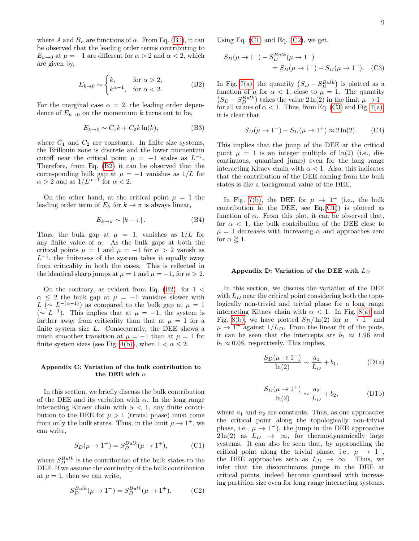where A and  $B_n$  are functions of  $\alpha$ . From Eq. [\(B1\)](#page-7-3), it can be observed that the leading order terms contributing to  $E_{k\to 0}$  at  $\mu = -1$  are different for  $\alpha > 2$  and  $\alpha < 2$ , which are given by,

<span id="page-8-2"></span>
$$
E_{k \to 0} \sim \begin{cases} k, & \text{for } \alpha > 2, \\ k^{\alpha - 1}, & \text{for } \alpha < 2. \end{cases} \tag{B2}
$$

For the marginal case  $\alpha = 2$ , the leading order dependence of  $E_{k\to 0}$  on the momentum k turns out to be,

$$
E_{k\to 0} \sim C_1 k + C_2 k \ln(k),\tag{B3}
$$

where  $C_1$  and  $C_2$  are constants. In finite size systems, the Brillouin zone is discrete and the lower momentum cutoff near the critical point  $\mu = -1$  scales as  $L^{-1}$ . Therefore, from Eq. [\(B2\)](#page-8-2) it can be observed that the corresponding bulk gap at  $\mu = -1$  vanishes as  $1/L$  for  $\alpha > 2$  and as  $1/L^{\alpha-1}$  for  $\alpha < 2$ .

On the other hand, at the critical point  $\mu = 1$  the leading order term of  $E_k$  for  $k \to \pi$  is always linear,

$$
E_{k \to \pi} \sim |k - \pi| \,. \tag{B4}
$$

Thus, the bulk gap at  $\mu = 1$ , vanishes as  $1/L$  for any finite value of  $\alpha$ . As the bulk gaps at both the critical points  $\mu = 1$  and  $\mu = -1$  for  $\alpha > 2$  vanish as  $L^{-1}$ , the finiteness of the system takes it equally away from criticality in both the cases. This is reflected in the identical sharp jumps at  $\mu = 1$  and  $\mu = -1$ , for  $\alpha > 2$ .

On the contrary, as evident from Eq.  $(B2)$ , for  $1 <$  $\alpha \leq 2$  the bulk gap at  $\mu = -1$  vanishes slower with L ( $\sim L^{-(\alpha-1)}$ ) as compared to the bulk gap at  $\mu = 1$  $(∼ L^{-1})$ . This implies that at  $μ = -1$ , the system is farther away from criticality than that at  $\mu = 1$  for a finite system size  $L$ . Consequently, the DEE shows a much smoother transition at  $\mu = -1$  than at  $\mu = 1$  for finite system sizes (see Fig. [4\(b\)\)](#page-4-2), when  $1 < \alpha \leq 2$ .

#### <span id="page-8-0"></span>Appendix C: Variation of the bulk contribution to the DEE with  $\alpha$

In this section, we briefly discuss the bulk contribution of the DEE and its variation with  $\alpha$ . In the long range interacting Kitaev chain with  $\alpha < 1$ , any finite contribution to the DEE for  $\mu > 1$  (trivial phase) must come from only the bulk states. Thus, in the limit  $\mu \to 1^+$ , we can write,

<span id="page-8-3"></span>
$$
S_D(\mu \to 1^+) = S_D^{Bulk}(\mu \to 1^+), \tag{C1}
$$

where  $S_D^{Bulk}$  is the contribution of the bulk states to the DEE. If we assume the continuity of the bulk contribution at  $\mu = 1$ , then we can write,

<span id="page-8-4"></span>
$$
S_D^{Bulk}(\mu \to 1^-) = S_D^{Bulk}(\mu \to 1^+). \tag{C2}
$$

Using Eq.  $(C1)$  and Eq.  $(C2)$ , we get,

$$
S_D(\mu \to 1^-) - S_D^{Bulk}(\mu \to 1^-)
$$
  
=  $S_D(\mu \to 1^-) - S_D(\mu \to 1^+)$ . (C3)

In Fig. [7\(a\),](#page-9-0) the quantity  $(S_D - S_D^{Bulk})$  is plotted as a function of  $\mu$  for  $\alpha < 1$ , close to  $\mu = 1$ . The quantity  $(S_D - S_D^{Bulk})$  takes the value  $2 \ln(2)$  in the limit  $\mu \to 1^{-}$ for all values of  $\alpha < 1$ . Thus, from Eq. [\(C3\)](#page-8-5) and Fig. [7\(a\),](#page-9-0) it is clear that

<span id="page-8-5"></span>
$$
S_D(\mu \to 1^-) - S_D(\mu \to 1^+) \approx 2 \ln(2). \tag{C4}
$$

This implies that the jump of the DEE at the critical point  $\mu = 1$  is an integer multiple of  $\ln(2)$  (i.e., discontinuous, quantized jump) even for the long range interacting Kitaev chain with  $\alpha < 1$ . Also, this indicates that the contribution of the DEE coming from the bulk states is like a background value of the DEE.

In Fig. [7\(b\),](#page-9-1) the DEE for  $\mu \rightarrow 1^+$  (i.e., the bulk contribution to the DEE, see  $Eq.(C1)$  $Eq.(C1)$  is plotted as function of  $\alpha$ . From this plot, it can be observed that, for  $\alpha$  < 1, the bulk contribution of the DEE close to  $\mu = 1$  decreases with increasing  $\alpha$  and approaches zero for  $\alpha \gtrsim 1$ .

#### <span id="page-8-1"></span>Appendix D: Variation of the DEE with  $L_D$

In this section, we discuss the variation of the DEE with  $L_D$  near the critical point considering both the topologically non-trivial and trivial phase for a long range interacting Kitaev chain with  $\alpha$  < 1. In Fig. [8\(a\)](#page-9-2) and Fig. [8\(b\),](#page-9-3) we have plotted  $S_D/\ln(2)$  for  $\mu \to 1^-$  and  $\mu \rightarrow 1^+$  against  $1/L_D$ . From the linear fit of the plots, it can be seen that the intercepts are  $b_1 \approx 1.96$  and  $b_1 \approx 0.08$ , respectively. This implies,

$$
\frac{S_D(\mu \to 1^-)}{\ln(2)} \sim \frac{a_1}{L_D} + b_1,
$$
 (D1a)

$$
\frac{S_D(\mu \to 1^+)}{\ln(2)} \sim \frac{a_2}{L_D} + b_2,
$$
 (D1b)

where  $a_1$  and  $a_2$  are constants. Thus, as one approaches the critical point along the topologically non-trivial phase, i.e.,  $\mu \rightarrow 1^-$ , the jump in the DEE approaches  $2 \ln(2)$  as  $L_D \rightarrow \infty$ , for thermodynamically large systems. It can also be seen that, by approaching the critical point along the trivial phase, i.e.,  $\mu \rightarrow 1^+,$ the DEE approaches zero as  $L_D \rightarrow \infty$ . Thus, we infer that the discontinuous jumps in the DEE at critical points, indeed become quantised with increasing partition size even for long range interacting systems.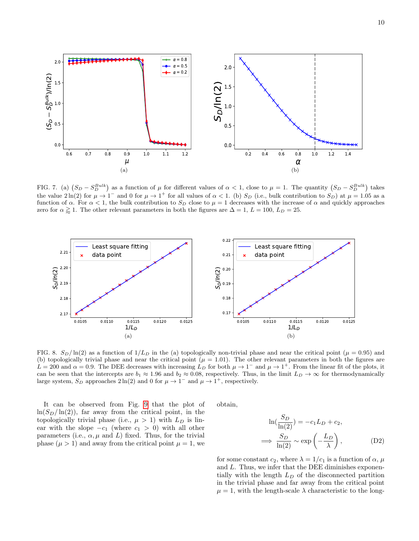<span id="page-9-0"></span>

<span id="page-9-1"></span>FIG. 7. (a)  $(S_D - S_D^{Bulk})$  as a function of  $\mu$  for different values of  $\alpha < 1$ , close to  $\mu = 1$ . The quantity  $(S_D - S_D^{Bulk})$  takes the value  $2\ln(2)$  for  $\mu \to 1^-$  and 0 for  $\mu \to 1^+$  for all values of  $\alpha < 1$ . (b)  $S_D$  (i.e., bulk contribution to  $S_D$ ) at  $\mu = 1.05$  as a function of  $\alpha$ . For  $\alpha < 1$ , the bulk contribution to  $S_D$  close to  $\mu = 1$  decreases with the increase of  $\alpha$  and quickly approaches zero for  $\alpha \gtrapprox 1$ . The other relevant parameters in both the figures are  $\Delta = 1$ ,  $L = 100$ ,  $L_D = 25$ .

<span id="page-9-2"></span>

FIG. 8.  $S_D/\ln(2)$  as a function of  $1/L_D$  in the (a) topologically non-trivial phase and near the critical point ( $\mu = 0.95$ ) and (b) topologically trivial phase and near the critical point  $(\mu = 1.01)$ . The other relevant parameters in both the figures are  $L = 200$  and  $\alpha = 0.9$ . The DEE decreases with increasing  $L_D$  for both  $\mu \to 1^-$  and  $\mu \to 1^+$ . From the linear fit of the plots, it can be seen that the intercepts are  $b_1 \approx 1.96$  and  $b_2 \approx 0.08$ , respectively. Thus, in the limit  $L_D \to \infty$  for thermodynamically large system,  $S_D$  approaches  $2 \ln(2)$  and 0 for  $\mu \to 1^-$  and  $\mu \to 1^+$ , respectively.

It can be observed from Fig. [9](#page-10-2) that the plot of  $\ln(S_D/\ln(2))$ , far away from the critical point, in the topologically trivial phase (i.e.,  $\mu > 1$ ) with  $L_D$  is linear with the slope  $-c_1$  (where  $c_1 > 0$ ) with all other parameters (i.e.,  $\alpha, \mu$  and L) fixed. Thus, for the trivial phase  $(\mu > 1)$  and away from the critical point  $\mu = 1$ , we

<span id="page-9-3"></span>obtain,

$$
\ln(\frac{S_D}{\ln(2)}) = -c_1 L_D + c_2,
$$
  

$$
\implies \frac{S_D}{\ln(2)} \sim \exp\left(-\frac{L_D}{\lambda}\right),
$$
 (D2)

for some constant  $c_2$ , where  $\lambda = 1/c_1$  is a function of  $\alpha$ ,  $\mu$ and L. Thus, we infer that the DEE diminishes exponentially with the length  $L<sub>D</sub>$  of the disconnected partition in the trivial phase and far away from the critical point  $\mu = 1$ , with the length-scale  $\lambda$  characteristic to the long-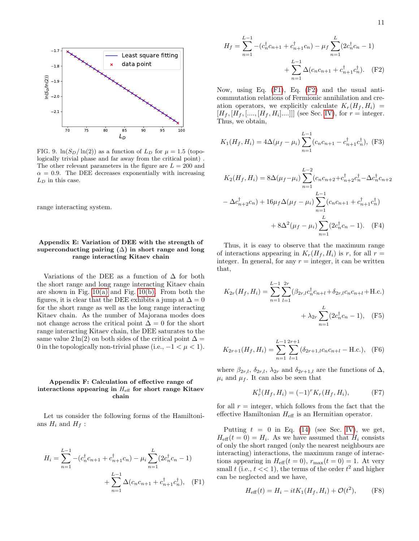

<span id="page-10-2"></span>FIG. 9.  $\ln(S_D/\ln(2))$  as a function of  $L_D$  for  $\mu = 1.5$  (topologically trivial phase and far away from the critical point) . The other relevant parameters in the figure are  $L = 200$  and  $\alpha = 0.9$ . The DEE decreases exponentially with increasing  $L_D$  in this case.

range interacting system.

# <span id="page-10-0"></span>Appendix E: Variation of DEE with the strength of superconducting pairing  $(\Delta)$  in short range and long range interacting Kitaev chain

Variations of the DEE as a function of  $\Delta$  for both the short range and long range interacting Kitaev chain are shown in Fig.  $10(a)$  and Fig.  $10(b)$ . From both the figures, it is clear that the DEE exhibits a jump at  $\Delta = 0$ for the short range as well as the long range interacting Kitaev chain. As the number of Majorana modes does not change across the critical point  $\Delta = 0$  for the short range interacting Kitaev chain, the DEE saturates to the same value  $2 \ln(2)$  on both sides of the critical point  $\Delta =$ 0 in the topologically non-trivial phase (i.e.,  $-1 < \mu < 1$ ).

# <span id="page-10-1"></span>Appendix F: Calculation of effective range of interactions appearing in  $H_{\text{eff}}$  for short range Kitaev chain

Let us consider the following forms of the Hamiltonians  $H_i$  and  $H_f$  :

$$
H_i = \sum_{n=1}^{L-1} -(c_n^{\dagger}c_{n+1} + c_{n+1}^{\dagger}c_n) - \mu_i \sum_{n=1}^{L} (2c_n^{\dagger}c_n - 1) + \sum_{n=1}^{L-1} \Delta(c_n c_{n+1} + c_{n+1}^{\dagger}c_n^{\dagger}), \quad \text{(F1)}
$$

<span id="page-10-4"></span>
$$
H_f = \sum_{n=1}^{L-1} -(c_n^{\dagger}c_{n+1} + c_{n+1}^{\dagger}c_n) - \mu_f \sum_{n=1}^{L} (2c_n^{\dagger}c_n - 1) + \sum_{n=1}^{L-1} \Delta(c_n c_{n+1} + c_{n+1}^{\dagger}c_n^{\dagger}).
$$
 (F2)

Now, using Eq. [\(F1\)](#page-10-3), Eq. [\(F2\)](#page-10-4) and the usual anticommutation relations of Fermionic annihilation and creation operators, we explicitly calculate  $K_r(H_f, H_i)$  =  $[H_f, [H_f, [..., [H_f, H_i]...]]]$  (see Sec. [IV\)](#page-5-0), for  $r =$  integer. Thus, we obtain,

$$
K_1(H_f, H_i) = 4\Delta(\mu_f - \mu_i) \sum_{n=1}^{L-1} (c_n c_{n+1} - c_{n+1}^{\dagger} c_n^{\dagger}), \text{ (F3)}
$$

$$
K_2(H_f, H_i) = 8\Delta(\mu_f - \mu_i) \sum_{n=1}^{L-2} (c_n c_{n+2} + c_{n+2}^{\dagger} c_n^{\dagger} - \Delta c_n^{\dagger} c_{n+2} - \Delta c_{n+2}^{\dagger} c_n) + 16\mu_f \Delta(\mu_f - \mu_i) \sum_{n=1}^{L-1} (c_n c_{n+1} + c_{n+1}^{\dagger} c_n^{\dagger}) + 8\Delta^2(\mu_f - \mu_i) \sum_{n=1}^{L} (2c_n^{\dagger} c_n - 1). \quad (F4)
$$

Thus, it is easy to observe that the maximum range of interactions appearing in  $K_r(H_f, H_i)$  is r, for all  $r =$ integer. In general, for any  $r =$  integer, it can be written that,

$$
K_{2r}(H_f, H_i) = \sum_{n=1}^{L-1} \sum_{l=1}^{2r} (\beta_{2r,l} c_n^{\dagger} c_{n+l} + \delta_{2r,l} c_n c_{n+l} + \text{H.c.}) + \lambda_{2r} \sum_{n=1}^{L} (2c_n^{\dagger} c_n - 1), \quad \text{(F5)}
$$

$$
K_{2r+1}(H_f, H_i) = \sum_{n=1}^{L-1} \sum_{l=1}^{2r+1} (\delta_{2r+1,l} c_n c_{n+l} - \text{H.c.}), \quad \text{(F6)}
$$

where  $\beta_{2r,l}, \delta_{2r,l}, \lambda_{2r}$  and  $\delta_{2r+1,l}$  are the functions of  $\Delta$ ,  $\mu_i$  and  $\mu_f$ . It can also be seen that

$$
K_r^{\dagger}(H_f, H_i) = (-1)^r K_r(H_f, H_i), \tag{F7}
$$

for all  $r =$  integer, which follows from the fact that the effective Hamiltonian  $H_{\text{eff}}$  is an Hermitian operator.

<span id="page-10-3"></span>Putting  $t = 0$  in Eq. [\(14\)](#page-5-3) (see Sec. [IV\)](#page-5-0), we get,  $H_{\text{eff}}(t=0) = H_i$ . As we have assumed that  $H_i$  consists of only the short ranged (only the nearest neighbours are interacting) interactions, the maximum range of interactions appearing in  $H_{\text{eff}}(t=0)$ ,  $r_{\text{max}}(t=0) = 1$ . At very small t (i.e.,  $t \ll 1$ ), the terms of the order  $t^2$  and higher can be neglected and we have,

$$
H_{\text{eff}}(t) = H_i - itK_1(H_f, H_i) + \mathcal{O}(t^2), \tag{F8}
$$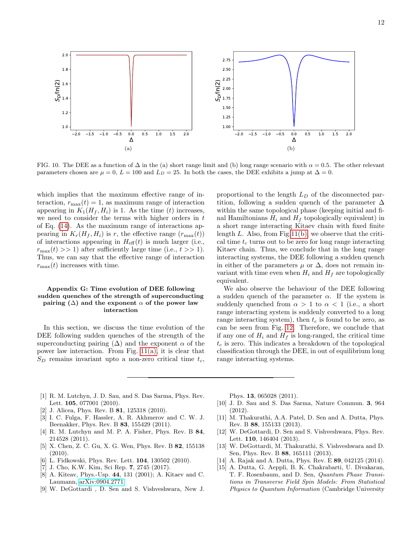<span id="page-11-10"></span>

FIG. 10. The DEE as a function of  $\Delta$  in the (a) short range limit and (b) long range scenario with  $\alpha = 0.5$ . The other relevant parameters chosen are  $\mu = 0$ ,  $L = 100$  and  $L_D = 25$ . In both the cases, the DEE exhibits a jump at  $\Delta = 0$ .

which implies that the maximum effective range of interaction,  $r_{\text{max}}(t) = 1$ , as maximum range of interaction appearing in  $K_1(H_f, H_i)$  is 1. As the time (t) increases, we need to consider the terms with higher orders in  $t$ of Eq. [\(14\)](#page-5-3). As the maximum range of interactions appearing in  $K_r(H_f, H_i)$  is r, the effective range  $(r_{\text{max}}(t))$ of interactions appearing in  $H_{\text{eff}}(t)$  is much larger (i.e.,  $r_{\text{max}}(t) >> 1$  after sufficiently large time (i.e.,  $t >> 1$ ). Thus, we can say that the effective range of interaction  $r_{\text{max}}(t)$  increases with time.

# <span id="page-11-7"></span>Appendix G: Time evolution of DEE following sudden quenches of the strength of superconducting pairing  $(\Delta)$  and the exponent  $\alpha$  of the power law interaction

In this section, we discuss the time evolution of the DEE following sudden quenches of the strength of the superconducting pairing  $(\Delta)$  and the exponent  $\alpha$  of the power law interaction. From Fig.  $11(a)$ , it is clear that  $S_D$  remains invariant upto a non-zero critical time  $t_c$ ,

<span id="page-11-11"></span>proportional to the length  $L_D$  of the disconnected partition, following a sudden quench of the parameter  $\Delta$ within the same topological phase (keeping initial and final Hamiltonians  $H_i$  and  $H_f$  topologically equivalent) in a short range interacting Kitaev chain with fixed finite length  $L$ . Also, from Fig. 11(b), we observe that the critical time  $t_c$  turns out to be zero for long range interacting Kitaev chain. Thus, we conclude that in the long range interacting systems, the DEE following a sudden quench in either of the parameters  $\mu$  or  $\Delta$ , does not remain invariant with time even when  $H_i$  and  $H_f$  are topologically equivalent.

We also observe the behaviour of the DEE following a sudden quench of the parameter  $\alpha$ . If the system is suddenly quenched from  $\alpha > 1$  to  $\alpha < 1$  (i.e., a short range interacting system is suddenly converted to a long range interacting system), then  $t_c$  is found to be zero, as can be seen from Fig. [12.](#page-12-25) Therefore, we conclude that if any one of  $H_i$  and  $H_f$  is long-ranged, the critical time  $t_c$  is zero. This indicates a breakdown of the topological classification through the DEE, in out of equilibrium long range interacting systems.

- <span id="page-11-0"></span>[1] R. M. Lutchyn, J. D. Sau, and S. Das Sarma, Phys. Rev. Lett. 105, 077001 (2010).
- [2] J. Alicea, Phys. Rev. B **81**, 125318 (2010).
- [3] I. C. Fulga, F. Hassler, A. R. Akhmerov and C. W. J. Beenakker, Phys. Rev. B 83, 155429 (2011).
- <span id="page-11-1"></span>[4] R. M. Lutchyn and M. P. A. Fisher, Phys. Rev. B 84, 214528 (2011).
- <span id="page-11-2"></span>[5] X. Chen, Z. C. Gu, X. G. Wen, Phys. Rev. B 82, 155138 (2010).
- <span id="page-11-6"></span>[6] L. Fidkowski, Phys. Rev. Lett. 104, 130502 (2010).
- <span id="page-11-3"></span>[7] J. Cho, K.W. Kim, Sci Rep. 7, 2745 (2017).
- <span id="page-11-4"></span>[8] A. Kiteav, Phys.-Usp. 44, 131 (2001); A. Kitaev and C. Laumann, [arXiv:0904.2771.](http://arxiv.org/abs/0904.2771)
- [9] W. DeGottardi , D. Sen and S. Vishveshwara, New J.

Phys. 13, 065028 (2011).

- [10] J. D. Sau and S. Das Sarma, Nature Commun. 3, 964 (2012).
- <span id="page-11-8"></span>[11] M. Thakurathi, A.A. Patel, D. Sen and A. Dutta, Phys. Rev. B 88, 155133 (2013).
- [12] W. DeGottardi, D. Sen and S. Vishveshwara, Phys. Rev. Lett. **110**, 146404 (2013).
- [13] W. DeGottardi, M. Thakurathi, S. Vishveshwara and D. Sen, Phys. Rev. B 88, 165111 (2013).
- <span id="page-11-9"></span>[14] A. Rajak and A. Dutta, Phys. Rev. E 89, 042125 (2014).
- <span id="page-11-5"></span>[15] A. Dutta, G. Aeppli, B. K. Chakrabarti, U. Divakaran, T. F. Rosenbaum, and D. Sen, Quantum Phase Transitions in Transverse Field Spin Models: From Statistical Physics to Quantum Information (Cambridge University